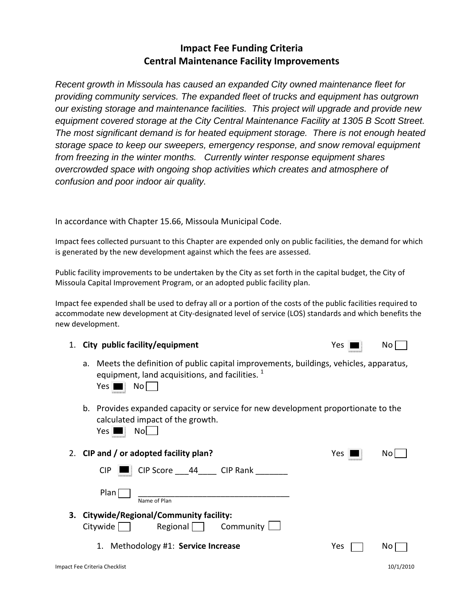# **Impact Fee Funding Criteria Central Maintenance Facility Improvements**

*Recent growth in Missoula has caused an expanded City owned maintenance fleet for providing community services. The expanded fleet of trucks and equipment has outgrown our existing storage and maintenance facilities. This project will upgrade and provide new equipment covered storage at the City Central Maintenance Facility at 1305 B Scott Street. The most significant demand is for heated equipment storage. There is not enough heated storage space to keep our sweepers, emergency response, and snow removal equipment from freezing in the winter months. Currently winter response equipment shares overcrowded space with ongoing shop activities which creates and atmosphere of confusion and poor indoor air quality.* 

In accordance with Chapter 15.66, Missoula Municipal Code.

Impact fees collected pursuant to this Chapter are expended only on public facilities, the demand for which is generated by the new development against which the fees are assessed.

Public facility improvements to be undertaken by the City as set forth in the capital budget, the City of Missoula Capital Improvement Program, or an adopted public facility plan.

Impact fee expended shall be used to defray all or a portion of the costs of the public facilities required to accommodate new development at City‐designated level of service (LOS) standards and which benefits the new development.

### 1. **City public facility/equipment** Yes No

a. Meets the definition of public capital improvements, buildings, vehicles, apparatus, equipment, land acquisitions, and facilities.  $1$ 

 $Yes \nightharpoonup No \nightharpoonup$ 

b. Provides expanded capacity or service for new development proportionate to the calculated impact of the growth.

 $Yes \nightharpoonup No \nightharpoonup$ 

|    | 2. CIP and / or adopted facility plan?                                                              | Yes<br>ndsnodningsnit | No |
|----|-----------------------------------------------------------------------------------------------------|-----------------------|----|
|    | CIP Score 44 CIP Rank<br>$CIP$ $\blacksquare$                                                       |                       |    |
|    | Plan<br>Name of Plan                                                                                |                       |    |
| З. | <b>Citywide/Regional/Community facility:</b><br>Regional $\Box$ Community $\Box$<br>Citywide $\Box$ |                       |    |

1. Methodology #1: **Service Increase**  Yes No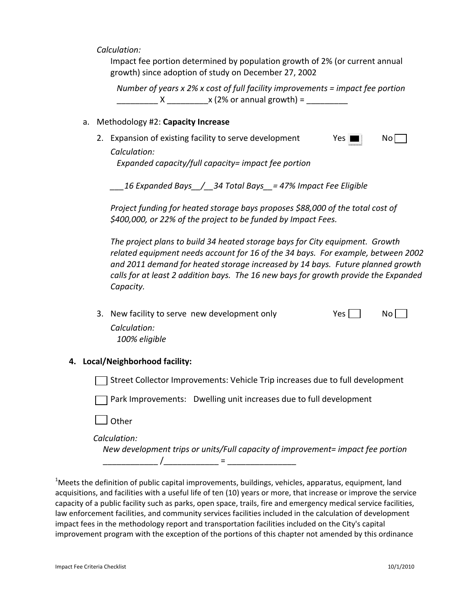$Calculation:$ 

Impact fee portion determined by population growth of 2% (or current annual growth) since adoption of study on December 27, 2002

 *Number of years x 2% x cost of full facility improvements = impact fee portion*  \_\_\_\_\_\_\_\_\_ X \_\_\_\_\_\_\_\_\_x (2% or annual growth) = \_\_\_\_\_\_\_\_\_

#### a. Methodology #2: **Capacity Increase**

2. Expansion of existing facility to serve development  $\blacksquare$  Yes  $\blacksquare$  No

*Calculation: Expanded capacity/full capacity= impact fee portion*

*\_\_\_16 Expanded Bays\_\_/\_\_34 Total Bays\_\_= 47% Impact Fee Eligible* 

*Project funding for heated storage bays proposes \$88,000 of the total cost of \$400,000, or 22% of the project to be funded by Impact Fees.*

*The project plans to build 34 heated storage bays for City equipment. Growth related equipment needs account for 16 of the 34 bays. For example, between 2002 and 2011 demand for heated storage increased by 14 bays. Future planned growth calls for at least 2 addition bays. The 16 new bays for growth provide the Expanded Capacity.*

3. New facility to serve new development only  $Yes \mid \cdot \cdot \cdot \cdot \cdot$ *Calculation:* 

*100% eligible*

#### **4. Local/Neighborhood facility:**

Street Collector Improvements: Vehicle Trip increases due to full development

Park Improvements: Dwelling unit increases due to full development

**Other** 

 $Calculation:$ 

 *New development trips or units/Full capacity of improvement= impact fee portion* \_\_\_\_\_\_\_\_\_\_\_\_ /\_\_\_\_\_\_\_\_\_\_\_\_ = \_\_\_\_\_\_\_\_\_\_\_\_\_\_\_

 $^{1}$ Meets the definition of public capital improvements, buildings, vehicles, apparatus, equipment, land acquisitions, and facilities with a useful life of ten (10) years or more, that increase or improve the service capacity of a public facility such as parks, open space, trails, fire and emergency medical service facilities, law enforcement facilities, and community services facilities included in the calculation of development impact fees in the methodology report and transportation facilities included on the City's capital improvement program with the exception of the portions of this chapter not amended by this ordinance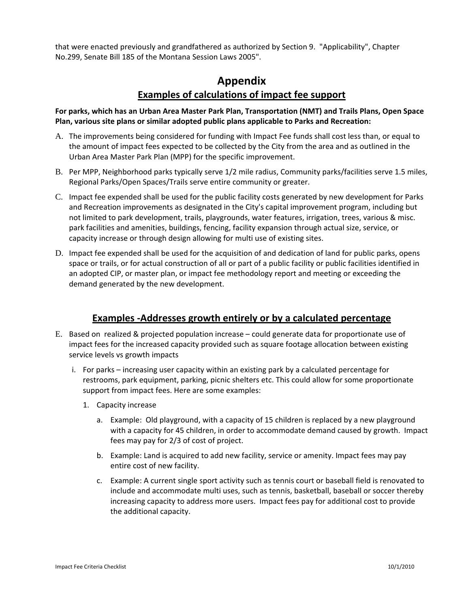that were enacted previously and grandfathered as authorized by Section 9. "Applicability", Chapter No.299, Senate Bill 185 of the Montana Session Laws 2005".

## **Appendix Examples of calculations of impact fee support**

**For parks, which has an Urban Area Master Park Plan, Transportation (NMT) and Trails Plans, Open Space Plan, various site plans or similar adopted public plans applicable to Parks and Recreation:**

- A. The improvements being considered for funding with Impact Fee funds shall cost less than, or equal to the amount of impact fees expected to be collected by the City from the area and as outlined in the Urban Area Master Park Plan (MPP) for the specific improvement.
- B. Per MPP, Neighborhood parks typically serve 1/2 mile radius, Community parks/facilities serve 1.5 miles, Regional Parks/Open Spaces/Trails serve entire community or greater.
- C. Impact fee expended shall be used for the public facility costs generated by new development for Parks and Recreation improvements as designated in the City's capital improvement program, including but not limited to park development, trails, playgrounds, water features, irrigation, trees, various & misc. park facilities and amenities, buildings, fencing, facility expansion through actual size, service, or capacity increase or through design allowing for multi use of existing sites.
- D. Impact fee expended shall be used for the acquisition of and dedication of land for public parks, opens space or trails, or for actual construction of all or part of a public facility or public facilities identified in an adopted CIP, or master plan, or impact fee methodology report and meeting or exceeding the demand generated by the new development.

### **Examples ‐Addresses growth entirely or by a calculated percentage**

- E. Based on realized & projected population increase could generate data for proportionate use of impact fees for the increased capacity provided such as square footage allocation between existing service levels vs growth impacts
	- i. For parks increasing user capacity within an existing park by a calculated percentage for restrooms, park equipment, parking, picnic shelters etc. This could allow for some proportionate support from impact fees. Here are some examples:
		- 1. Capacity increase
			- a. Example: Old playground, with a capacity of 15 children is replaced by a new playground with a capacity for 45 children, in order to accommodate demand caused by growth. Impact fees may pay for 2/3 of cost of project.
			- b. Example: Land is acquired to add new facility, service or amenity. Impact fees may pay entire cost of new facility.
			- c. Example: A current single sport activity such as tennis court or baseball field is renovated to include and accommodate multi uses, such as tennis, basketball, baseball or soccer thereby increasing capacity to address more users. Impact fees pay for additional cost to provide the additional capacity.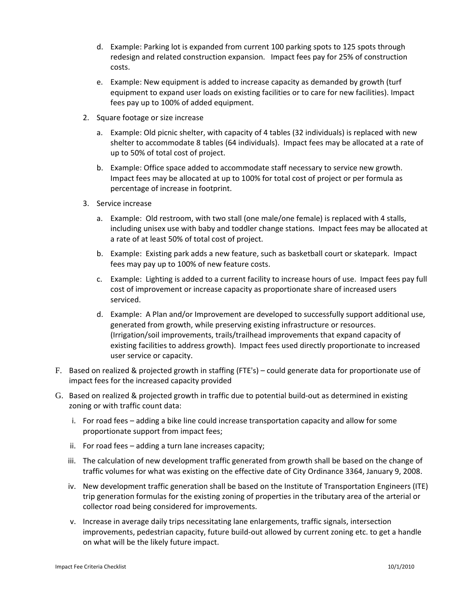- d. Example: Parking lot is expanded from current 100 parking spots to 125 spots through redesign and related construction expansion. Impact fees pay for 25% of construction costs.
- e. Example: New equipment is added to increase capacity as demanded by growth (turf equipment to expand user loads on existing facilities or to care for new facilities). Impact fees pay up to 100% of added equipment.
- 2. Square footage or size increase
	- a. Example: Old picnic shelter, with capacity of 4 tables (32 individuals) is replaced with new shelter to accommodate 8 tables (64 individuals). Impact fees may be allocated at a rate of up to 50% of total cost of project.
	- b. Example: Office space added to accommodate staff necessary to service new growth. Impact fees may be allocated at up to 100% for total cost of project or per formula as percentage of increase in footprint.
- 3. Service increase
	- a. Example: Old restroom, with two stall (one male/one female) is replaced with 4 stalls, including unisex use with baby and toddler change stations. Impact fees may be allocated at a rate of at least 50% of total cost of project.
	- b. Example: Existing park adds a new feature, such as basketball court or skatepark. Impact fees may pay up to 100% of new feature costs.
	- c. Example: Lighting is added to a current facility to increase hours of use. Impact fees pay full cost of improvement or increase capacity as proportionate share of increased users serviced.
	- d. Example: A Plan and/or Improvement are developed to successfully support additional use, generated from growth, while preserving existing infrastructure or resources. (Irrigation/soil improvements, trails/trailhead improvements that expand capacity of existing facilities to address growth). Impact fees used directly proportionate to increased user service or capacity.
- F. Based on realized & projected growth in staffing (FTE's) could generate data for proportionate use of impact fees for the increased capacity provided
- G. Based on realized & projected growth in traffic due to potential build‐out as determined in existing zoning or with traffic count data:
	- i. For road fees adding a bike line could increase transportation capacity and allow for some proportionate support from impact fees;
	- ii. For road fees adding a turn lane increases capacity;
	- iii. The calculation of new development traffic generated from growth shall be based on the change of traffic volumes for what was existing on the effective date of City Ordinance 3364, January 9, 2008.
	- iv. New development traffic generation shall be based on the Institute of Transportation Engineers (ITE) trip generation formulas for the existing zoning of properties in the tributary area of the arterial or collector road being considered for improvements.
	- v. Increase in average daily trips necessitating lane enlargements, traffic signals, intersection improvements, pedestrian capacity, future build-out allowed by current zoning etc. to get a handle on what will be the likely future impact.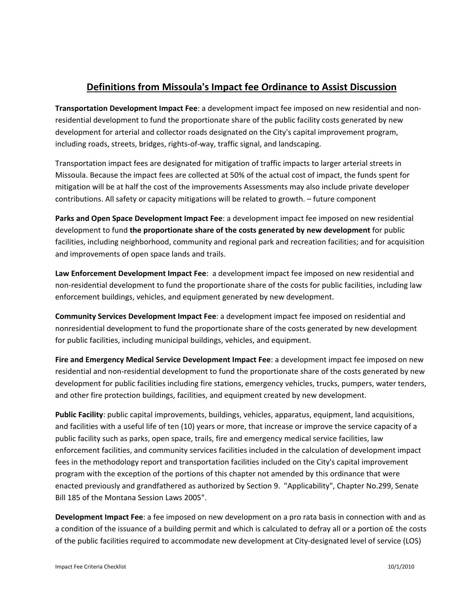# **Definitions from Missoula's Impact fee Ordinance to Assist Discussion**

**Transportation Development Impact Fee**: a development impact fee imposed on new residential and non‐ residential development to fund the proportionate share of the public facility costs generated by new development for arterial and collector roads designated on the City's capital improvement program, including roads, streets, bridges, rights‐of‐way, traffic signal, and landscaping.

Transportation impact fees are designated for mitigation of traffic impacts to larger arterial streets in Missoula. Because the impact fees are collected at 50% of the actual cost of impact, the funds spent for mitigation will be at half the cost of the improvements Assessments may also include private developer contributions. All safety or capacity mitigations will be related to growth. – future component

**Parks and Open Space Development Impact Fee**: a development impact fee imposed on new residential development to fund **the proportionate share of the costs generated by new development** for public facilities, including neighborhood, community and regional park and recreation facilities; and for acquisition and improvements of open space lands and trails.

**Law Enforcement Development Impact Fee**: a development impact fee imposed on new residential and non‐residential development to fund the proportionate share of the costs for public facilities, including law enforcement buildings, vehicles, and equipment generated by new development.

**Community Services Development Impact Fee**: a development impact fee imposed on residential and nonresidential development to fund the proportionate share of the costs generated by new development for public facilities, including municipal buildings, vehicles, and equipment.

**Fire and Emergency Medical Service Development Impact Fee**: a development impact fee imposed on new residential and non-residential development to fund the proportionate share of the costs generated by new development for public facilities including fire stations, emergency vehicles, trucks, pumpers, water tenders, and other fire protection buildings, facilities, and equipment created by new development.

**Public Facility**: public capital improvements, buildings, vehicles, apparatus, equipment, land acquisitions, and facilities with a useful life of ten (10) years or more, that increase or improve the service capacity of a public facility such as parks, open space, trails, fire and emergency medical service facilities, law enforcement facilities, and community services facilities included in the calculation of development impact fees in the methodology report and transportation facilities included on the City's capital improvement program with the exception of the portions of this chapter not amended by this ordinance that were enacted previously and grandfathered as authorized by Section 9. "Applicability", Chapter No.299, Senate Bill 185 of the Montana Session Laws 2005".

**Development Impact Fee**: a fee imposed on new development on a pro rata basis in connection with and as a condition of the issuance of a building permit and which is calculated to defray all or a portion of the costs of the public facilities required to accommodate new development at City‐designated level of service (LOS)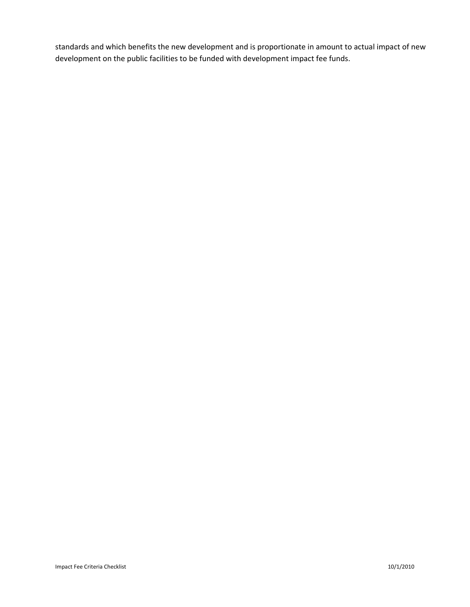standards and which benefits the new development and is proportionate in amount to actual impact of new development on the public facilities to be funded with development impact fee funds.